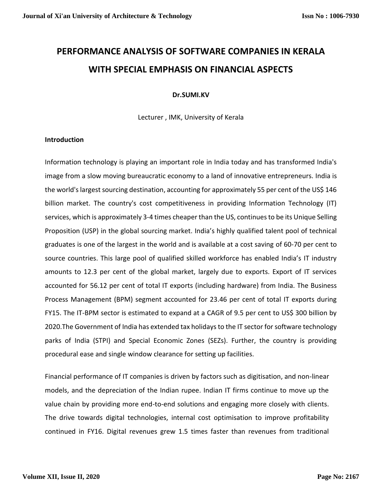# **PERFORMANCE ANALYSIS OF SOFTWARE COMPANIES IN KERALA WITH SPECIAL EMPHASIS ON FINANCIAL ASPECTS**

## **Dr.SUMI.KV**

Lecturer , IMK, University of Kerala

## **Introduction**

Information technology is playing an important role in India today and has transformed India's image from a slow moving bureaucratic economy to a land of innovative entrepreneurs. India is the world's largest sourcing destination, accounting for approximately 55 per cent of the US\$ 146 billion market. The country's cost competitiveness in providing Information Technology (IT) services, which is approximately 3-4 times cheaper than the US, continues to be its Unique Selling Proposition (USP) in the global sourcing market. India's highly qualified talent pool of technical graduates is one of the largest in the world and is available at a cost saving of 60-70 per cent to source countries. This large pool of qualified skilled workforce has enabled India's IT industry amounts to 12.3 per cent of the global market, largely due to exports. Export of IT services accounted for 56.12 per cent of total IT exports (including hardware) from India. The Business Process Management (BPM) segment accounted for 23.46 per cent of total IT exports during FY15. The IT-BPM sector is estimated to expand at a CAGR of 9.5 per cent to US\$ 300 billion by 2020.The Government of India has extended tax holidays to the IT sector for software technology parks of India (STPI) and Special Economic Zones (SEZs). Further, the country is providing procedural ease and single window clearance for setting up facilities.

Financial performance of IT companies is driven by factors such as digitisation, and non-linear models, and the depreciation of the Indian rupee. Indian IT firms continue to move up the value chain by providing more end-to-end solutions and engaging more closely with clients. The drive towards digital technologies, internal cost optimisation to improve profitability continued in FY16. Digital revenues grew 1.5 times faster than revenues from traditional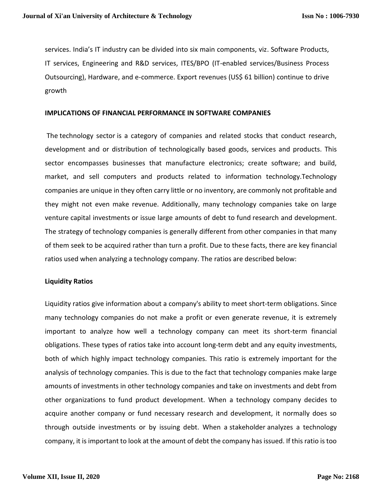services. India's IT industry can be divided into six main components, viz. Software Products, IT services, Engineering and R&D services, ITES/BPO (IT-enabled services/Business Process Outsourcing), Hardware, and e-commerce. Export revenues (US\$ 61 billion) continue to drive growth

#### **IMPLICATIONS OF FINANCIAL PERFORMANCE IN SOFTWARE COMPANIES**

The [technology sector](http://www.investopedia.com/terms/t/technology_sector.asp) is a category of companies and related stocks that conduct research, development and or distribution of technologically based goods, services and products. This sector encompasses businesses that manufacture electronics; create software; and build, market, and sell computers and products related to information technology.Technology companies are unique in they often carry little or no inventory, are commonly not profitable and they might not even make revenue. Additionally, many technology companies take on large venture [capital investments](http://www.investopedia.com/terms/c/capital-investment.asp) or issue large amounts of debt to fund [research and development.](http://www.investopedia.com/terms/r/randd.asp) The strategy of technology companies is generally different from other companies in that many of them seek to be acquired rather than turn a profit. Due to these facts, there are key [financial](http://www.investopedia.com/university/ratios/profitability-indicator/)  [ratios](http://www.investopedia.com/university/ratios/profitability-indicator/) used when analyzing a technology company. The ratios are described below:

#### **Liquidity Ratios**

Liquidity ratios give information about a company's ability to meet short-term obligations. Since many technology companies do not make a profit or even generate revenue, it is extremely important to analyze how well a technology company can meet its short-term financial obligations. These types of ratios take into account [long-term debt](http://www.investopedia.com/terms/l/longtermdebt.asp) and any equity investments, both of which highly impact technology companies. This ratio is extremely important for the analysis of technology companies. This is due to the fact that technology companies make large amounts of investments in other technology companies and take on investments and debt from other organizations to fund product development. When a technology company decides to acquire another company or fund necessary research and development, it normally does so through outside investments or by issuing debt. When a [stakeholder](http://www.investopedia.com/terms/s/stakeholder.asp) analyzes a technology company, it is important to look at the amount of debt the company has issued. If this ratio is too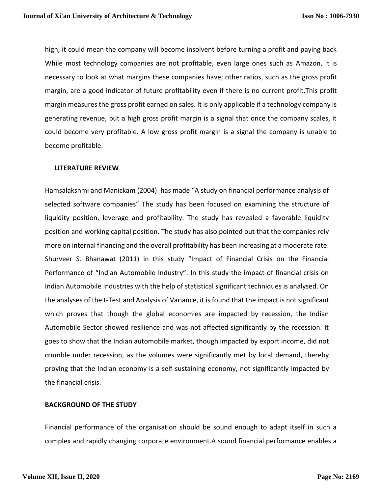high, it could mean the company will become insolvent before turning a profit and paying back While most technology companies are not profitable, even large ones such as Amazon, it is necessary to look at what margins these companies have; other ratios, such as the [gross profit](http://www.investopedia.com/terms/g/gross_profit_margin.asp)  [margin,](http://www.investopedia.com/terms/g/gross_profit_margin.asp) are a good indicator of future profitability even if there is no current profit.This profit margin measures the gross profit earned on sales. It is only applicable if a technology company is generating revenue, but a high gross profit margin is a signal that once the company scales, it could become very profitable. A low gross profit margin is a signal the company is unable to become profitable.

#### **LITERATURE REVIEW**

Hamsalakshmi and Manickam (2004) has made "A study on financial performance analysis of selected software companies" The study has been focused on examining the structure of liquidity position, leverage and profitability. The study has revealed a favorable liquidity position and working capital position. The study has also pointed out that the companies rely more on internal financing and the overall profitability has been increasing at a moderate rate. Shurveer S. Bhanawat (2011) in this study "Impact of Financial Crisis on the Financial Performance of "Indian Automobile Industry". In this study the impact of financial crisis on Indian Automobile Industries with the help of statistical significant techniques is analysed. On the analyses of the t-Test and Analysis of Variance, it is found that the impact is not significant which proves that though the global economies are impacted by recession, the Indian Automobile Sector showed resilience and was not affected significantly by the recession. It goes to show that the Indian automobile market, though impacted by export income, did not crumble under recession, as the volumes were significantly met by local demand, thereby proving that the Indian economy is a self sustaining economy, not significantly impacted by the financial crisis.

#### **BACKGROUND OF THE STUDY**

Financial performance of the organisation should be sound enough to adapt itself in such a complex and rapidly changing corporate environment.A sound financial performance enables a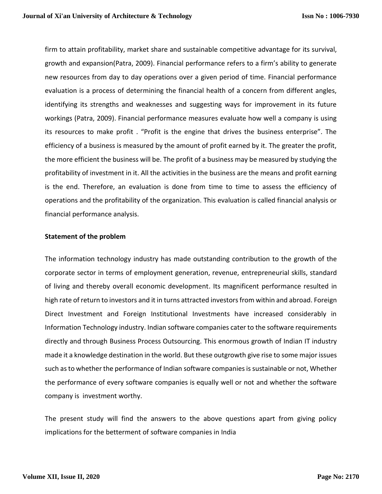firm to attain profitability, market share and sustainable competitive advantage for its survival, growth and expansion(Patra, 2009). Financial performance refers to a firm's ability to generate new resources from day to day operations over a given period of time. Financial performance evaluation is a process of determining the financial health of a concern from different angles, identifying its strengths and weaknesses and suggesting ways for improvement in its future workings (Patra, 2009). Financial performance measures evaluate how well a company is using its resources to make profit . "Profit is the engine that drives the business enterprise". The efficiency of a business is measured by the amount of profit earned by it. The greater the profit, the more efficient the business will be. The profit of a business may be measured by studying the profitability of investment in it. All the activities in the business are the means and profit earning is the end. Therefore, an evaluation is done from time to time to assess the efficiency of operations and the profitability of the organization. This evaluation is called financial analysis or financial performance analysis.

## **Statement of the problem**

The information technology industry has made outstanding contribution to the growth of the corporate sector in terms of employment generation, revenue, entrepreneurial skills, standard of living and thereby overall economic development. Its magnificent performance resulted in high rate of return to investors and it in turns attracted investors from within and abroad. Foreign Direct Investment and Foreign Institutional Investments have increased considerably in Information Technology industry. Indian software companies cater to the software requirements directly and through Business Process Outsourcing. This enormous growth of Indian IT industry made it a knowledge destination in the world. But these outgrowth give rise to some major issues such asto whether the performance of Indian software companies is sustainable or not, Whether the performance of every software companies is equally well or not and whether the software company is investment worthy.

The present study will find the answers to the above questions apart from giving policy implications for the betterment of software companies in India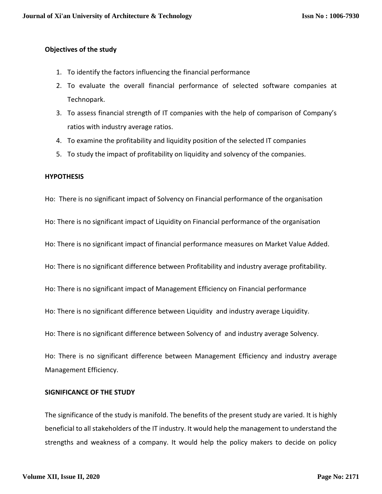## **Objectives of the study**

- 1. To identify the factors influencing the financial performance
- 2. To evaluate the overall financial performance of selected software companies at Technopark.
- 3. To assess financial strength of IT companies with the help of comparison of Company's ratios with industry average ratios.
- 4. To examine the profitability and liquidity position of the selected IT companies
- 5. To study the impact of profitability on liquidity and solvency of the companies.

#### **HYPOTHESIS**

Ho: There is no significant impact of Solvency on Financial performance of the organisation

Ho: There is no significant impact of Liquidity on Financial performance of the organisation

Ho: There is no significant impact of financial performance measures on Market Value Added.

Ho: There is no significant difference between Profitability and industry average profitability.

Ho: There is no significant impact of Management Efficiency on Financial performance

Ho: There is no significant difference between Liquidity and industry average Liquidity.

Ho: There is no significant difference between Solvency of and industry average Solvency.

Ho: There is no significant difference between Management Efficiency and industry average Management Efficiency.

## **SIGNIFICANCE OF THE STUDY**

The significance of the study is manifold. The benefits of the present study are varied. It is highly beneficial to all stakeholders of the IT industry. It would help the management to understand the strengths and weakness of a company. It would help the policy makers to decide on policy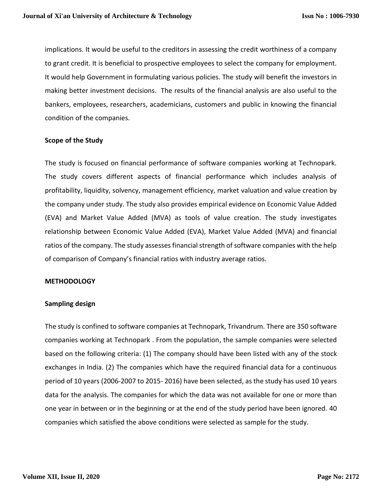implications. It would be useful to the creditors in assessing the credit worthiness of a company to grant credit. It is beneficial to prospective employees to select the company for employment. It would help Government in formulating various policies. The study will benefit the investors in making better investment decisions. The results of the financial analysis are also useful to the bankers, employees, researchers, academicians, customers and public in knowing the financial condition of the companies.

## **Scope of the Study**

The study is focused on financial performance of software companies working at Technopark. The study covers different aspects of financial performance which includes analysis of profitability, liquidity, solvency, management efficiency, market valuation and value creation by the company under study. The study also provides empirical evidence on Economic Value Added (EVA) and Market Value Added (MVA) as tools of value creation. The study investigates relationship between Economic Value Added (EVA), Market Value Added (MVA) and financial ratios of the company. The study assesses financial strength of software companies with the help of comparison of Company's financial ratios with industry average ratios.

#### **METHODOLOGY**

#### **Sampling design**

The study is confined to software companies at Technopark, Trivandrum. There are 350 software companies working at Technopark . From the population, the sample companies were selected based on the following criteria: (1) The company should have been listed with any of the stock exchanges in India. (2) The companies which have the required financial data for a continuous period of 10 years (2006-2007 to 2015- 2016) have been selected, as the study has used 10 years data for the analysis. The companies for which the data was not available for one or more than one year in between or in the beginning or at the end of the study period have been ignored. 40 companies which satisfied the above conditions were selected as sample for the study.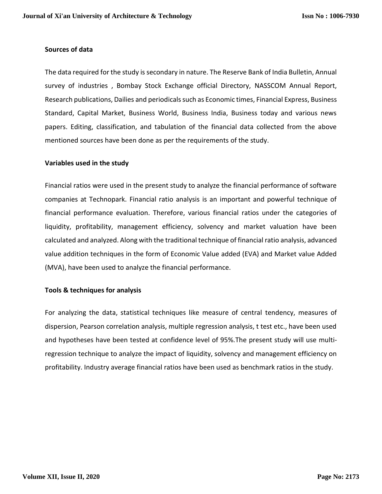#### **Sources of data**

The data required for the study is secondary in nature. The Reserve Bank of India Bulletin, Annual survey of industries , Bombay Stock Exchange official Directory, NASSCOM Annual Report, Research publications, Dailies and periodicals such as Economic times, Financial Express, Business Standard, Capital Market, Business World, Business India, Business today and various news papers. Editing, classification, and tabulation of the financial data collected from the above mentioned sources have been done as per the requirements of the study.

#### **Variables used in the study**

Financial ratios were used in the present study to analyze the financial performance of software companies at Technopark. Financial ratio analysis is an important and powerful technique of financial performance evaluation. Therefore, various financial ratios under the categories of liquidity, profitability, management efficiency, solvency and market valuation have been calculated and analyzed. Along with the traditional technique of financial ratio analysis, advanced value addition techniques in the form of Economic Value added (EVA) and Market value Added (MVA), have been used to analyze the financial performance.

#### **Tools & techniques for analysis**

For analyzing the data, statistical techniques like measure of central tendency, measures of dispersion, Pearson correlation analysis, multiple regression analysis, t test etc., have been used and hypotheses have been tested at confidence level of 95%.The present study will use multiregression technique to analyze the impact of liquidity, solvency and management efficiency on profitability. Industry average financial ratios have been used as benchmark ratios in the study.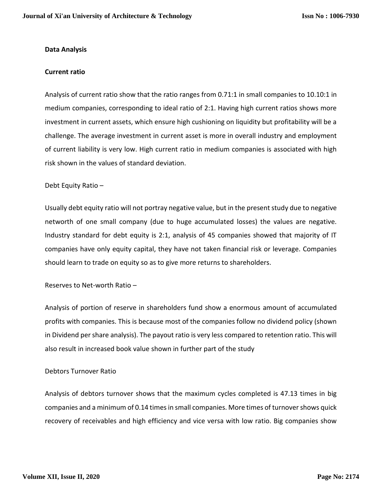## **Data Analysis**

## **Current ratio**

Analysis of current ratio show that the ratio ranges from 0.71:1 in small companies to 10.10:1 in medium companies, corresponding to ideal ratio of 2:1. Having high current ratios shows more investment in current assets, which ensure high cushioning on liquidity but profitability will be a challenge. The average investment in current asset is more in overall industry and employment of current liability is very low. High current ratio in medium companies is associated with high risk shown in the values of standard deviation.

## Debt Equity Ratio –

Usually debt equity ratio will not portray negative value, but in the present study due to negative networth of one small company (due to huge accumulated losses) the values are negative. Industry standard for debt equity is 2:1, analysis of 45 companies showed that majority of IT companies have only equity capital, they have not taken financial risk or leverage. Companies should learn to trade on equity so as to give more returns to shareholders.

## Reserves to Net-worth Ratio –

Analysis of portion of reserve in shareholders fund show a enormous amount of accumulated profits with companies. This is because most of the companies follow no dividend policy (shown in Dividend per share analysis). The payout ratio is very less compared to retention ratio. This will also result in increased book value shown in further part of the study

#### Debtors Turnover Ratio

Analysis of debtors turnover shows that the maximum cycles completed is 47.13 times in big companies and a minimum of 0.14 times in small companies. More times of turnover shows quick recovery of receivables and high efficiency and vice versa with low ratio. Big companies show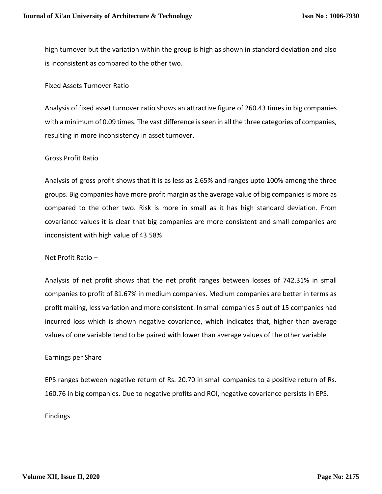high turnover but the variation within the group is high as shown in standard deviation and also is inconsistent as compared to the other two.

Fixed Assets Turnover Ratio

Analysis of fixed asset turnover ratio shows an attractive figure of 260.43 times in big companies with a minimum of 0.09 times. The vast difference is seen in all the three categories of companies, resulting in more inconsistency in asset turnover.

#### Gross Profit Ratio

Analysis of gross profit shows that it is as less as 2.65% and ranges upto 100% among the three groups. Big companies have more profit margin as the average value of big companies is more as compared to the other two. Risk is more in small as it has high standard deviation. From covariance values it is clear that big companies are more consistent and small companies are inconsistent with high value of 43.58%

#### Net Profit Ratio –

Analysis of net profit shows that the net profit ranges between losses of 742.31% in small companies to profit of 81.67% in medium companies. Medium companies are better in terms as profit making, less variation and more consistent. In small companies 5 out of 15 companies had incurred loss which is shown negative covariance, which indicates that, higher than average values of one variable tend to be paired with lower than average values of the other variable

#### Earnings per Share

EPS ranges between negative return of Rs. 20.70 in small companies to a positive return of Rs. 160.76 in big companies. Due to negative profits and ROI, negative covariance persists in EPS.

Findings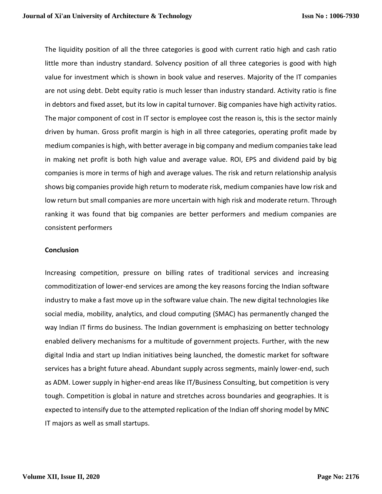The liquidity position of all the three categories is good with current ratio high and cash ratio little more than industry standard. Solvency position of all three categories is good with high value for investment which is shown in book value and reserves. Majority of the IT companies are not using debt. Debt equity ratio is much lesser than industry standard. Activity ratio is fine in debtors and fixed asset, but its low in capital turnover. Big companies have high activity ratios. The major component of cost in IT sector is employee cost the reason is, this is the sector mainly driven by human. Gross profit margin is high in all three categories, operating profit made by medium companies is high, with better average in big company and medium companies take lead in making net profit is both high value and average value. ROI, EPS and dividend paid by big companies is more in terms of high and average values. The risk and return relationship analysis shows big companies provide high return to moderate risk, medium companies have low risk and low return but small companies are more uncertain with high risk and moderate return. Through ranking it was found that big companies are better performers and medium companies are consistent performers

## **Conclusion**

Increasing competition, pressure on billing rates of traditional services and increasing commoditization of lower-end services are among the key reasons forcing the Indian software industry to make a fast move up in the software value chain. The new digital technologies like social media, mobility, analytics, and cloud computing (SMAC) has permanently changed the way Indian IT firms do business. The Indian government is emphasizing on better technology enabled delivery mechanisms for a multitude of government projects. Further, with the new digital India and start up Indian initiatives being launched, the domestic market for software services has a bright future ahead. Abundant supply across segments, mainly lower-end, such as ADM. Lower supply in higher-end areas like IT/Business Consulting, but competition is very tough. Competition is global in nature and stretches across boundaries and geographies. It is expected to intensify due to the attempted replication of the Indian off shoring model by MNC IT majors as well as small startups.